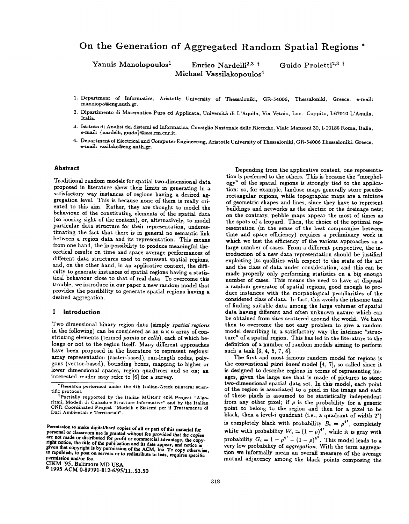# On the Generation of Aggregated Random Spatial Regions \*

 $\bm{\mathrm{Y}}$ annis Manolopoulos<sup>1</sup> Enrico Nardelli<sup>2,3†</sup> Guido Proietti<sup>2,3†</sup> Michael Vassilakopoulos4

- 1. Department of Informatics, Aristotle University of Thessaloniki, GR-54006, Thessaloniki, Greece, e-mail: manolopo@eng .auth.gr.
- 2. Dipartimento di Matematica Pura ed Applicata, Università di L'Aquila, Via Vetoio, Loc. Coppito, I-67010 L'Aquila, Italia. Italia.
- 3. Istituto di Analisi dei Sistemi ed Informatica, Consiglio Nazionale delle Ricerche, Viale Manzoni 30, I-00185 Roma, Italia, e-mail: {nardelli, guido}@iasi.rm.cnr.it.
- 4. Department of Electrical and Computer Engineering, Aristotle University of Thessaloniki, GR-54006 Thessaloniki, Greece, e-mail: vasilako@eng.auth.gr.

## Abstract

Traditional random models for spatial two-dimensional data proposed in literature show their limits in generating in a satisfactory way instances of regions having a desired aggregation level. This is because none of them is really oriented to this aim. Rather, they are thought to model the behaviour of the constituting elements of the spatial data (so loosing sight of the context), or, alternatively, to model particular data structure for their representation, underestimating the fact that there is in general no semantic link between a region data and its representation. This means from one hand, the impossibility to produce meaningful the oretical results on time and space average performances of different data structures used to represent spatial regions, and, on the other hand, in an applicative context, the difficulty to generate instances of spatial regions having a statistical behaviour close to that of real data. To overcome this trouble, we introduce in our paper a new random model that provides the possibility to generate spatial regions having a desired aggregation.

## 1 Introduction

Two dimensional binary region data (simply spatial regions in the following) can be considered as an  $n \times n$  array of constituting elements (termed points or cells), each of which be longs or not to the region itself. Many different approaches have been proposed in the literature to represent regions: array representation (raster-based), run-length codes, polygons (vector-based), bounding boxes, mapping to higher or lower dimensional spaces, region quadtrees and so on; an interested reader may refer to [6] for a survey.

CIKM '95, Baltimore MD USA

Depending from the applicative context, one representation is preferred to the others. This is because the "morphology" of the spatial regions is strongly tied to the application: so, for example, landuse maps generally store pseudorectangular regions, while topographic maps are a mixture of geometric shapes and lines, since they have to represent buildings and networks as the electric or the dreinage nets; on the contrary, pebble maps appear the most of times as the spots of a leopard. Then, the choice of the optimal rep resentation (in the sense of the best compromise between time and space efficiency) requires a preliminary work in which we test the efficiency of the various approaches on a large number of cases. From a different perspective, the introduction of a new data representation should be justified exploiting its qualities with respect to the state of the art and the class of data under consideration, and this can be made properly only performing statistics on a big enough number of cases. This means the need to have at disposal a random generator of spatial regions, good enough to produce instances with the morphological peculiarities of the considered class of data. In fact, this avoids the irksome task of finding suitable data among the large volumes of spatial data having different and often unknown nature which can be obtained from sites scattered around the world. We have then to overcome the not easy problem to give a random model describing in a satisfactory way the intrinsic 'structure" of a spatial region. This has led in the literature to the definition of a number of random models aiming to perform such a task [3, 4, 5, 7, 8].

The first and most famous random model for regions is the conventional pizel based model [4, 7], so called since it is designed to describe regions in terms of representing images, given the large use that is made of pictures to store two-dimensional spatial data set. In this model, each point of the region is associated to a pixel in the image and eaeh of these pixels is assumed to be statistically independent from any other pixel; if  $\rho$  is the probability for a generic point to belong to the region and then for a pixel to be black, then a level-i quadrant (i.e., a quadrant of width 2') is completely black with probability  $B_i = \rho^{4^*}$ , completely very low probability of *aggregation*. With the term aggregamutual adjacency among the black points composing the

<sup>-</sup> Research performed under the 4th Italian-Greek bilateral scientific protocol.

the protocol.<br><sup>†</sup>Partially supported by the Italian MURST 40% Project "Al ritmi, Modelli di Calcolo e Strutture mormative" and by the Italian<br>CNR Coordinated Project "Modelli e Sistemi per il Trattamento d Dati Ambientali e Territoriali".

Permission to make digital/hard copies of all or part of this material for<br>personal or classroom use is granted without fee provided that the copies personal or classroom use is granted without fee provided that the copies white with probability  $W_i = (1 - \rho)^4$ , while it is gray with a.m. not made or distributed for profit or commercial advantage, the copy-<br>right notice, the title of the sublisation of it. It is model with the copy-<br> $\frac{1}{2}$ right notice, the title of the publication and its date appear, and notice is  $\frac{1}{2}$  contain that is by permission of the ACM, Inc. To copy otherw,  $\frac{1}{2}$ to republish, to post on servers or to redistribute to lists, requires specific tion we informally mean an overall measure of the average mutual adjacency among the black points composing the permission and/or fee.

e 1995 ACM 0-89791-812-6/95/11. .\$3.50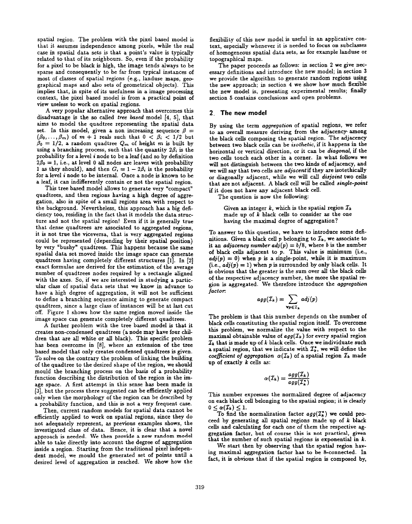spatial region. The problem with the pixel based model is that it assumes independence among pixels, while the real case in spatial data sets is that a point's value is typically related to that of its neighbours. So, even if the probability for a pixel to be black is high, the image tends always to be sparse and consequently to be far from typical instances of most of classes of spatial regions (e.g., landuse maps, geographical maps and also sets of geometrical objects). This implies that, in spite of its usefulness in a image processing context, the pixel based model is from a practical point of view useless to work on spatial regions.

A very popular alternative approach that overcomes this disadvantage is the so called tree based model [4, 5], that aims to model the quadtree representing the spatial data set. In this model, given a non increasing sequence  $\beta =$  $(\beta_0,\ldots,\beta_m)$  of  $m+1$  reals such that  $0 < \beta_i < 1/2$  but  $\beta_0 = 1/2$ , a random quadtree  $Q_m$  of height m is built by using a branching process, such that the quantity  $2\beta_i$  is the probability for a level i node to be a leaf (and so by definition  $2\beta_0 = 1$ , i.e., at level 0 all nodes are leaves with probability 1 as they should), and then  $G_i = 1 - 2\beta_i$  is the probability for a level i node to be internal. Once a node is known to be a leaf, it can indifferently contain or not the spatial region.

This tree based model allows to generate very "compact" quadtrees, and then regions having a high degree of aggregation, also in spite of a small regions area with respect to the background. Nevertheless, this approach has a big deficiency too, residing in the fact that it models the data structure and not the spatial region! Even if it is generally true that dense quadtrees are associated to aggregated regions, it is not true the viceversa, that is very aggregated regions could be represented (depending by their spatial position) by very "bushy" quadtrees. This happens because the same spatial data set moved inside the image space can generate quadtrees having completely different structures [1]. In [2] exact formulae are derived for the estimation. of the average number of quadtrees nodes required by a rectangle aligned with the axes. So, if we are interested in studying a particular class of spatial data sets that we know in advance to have a high degree of aggregation, it will not be sufficient to define a branching sequence aiming to generate compact quadtrees, since a large class of instances will be at last cut off. Figure 1 shows how the same region moved inside the image space can generate completely different quadtrees.

A further problem with the tree based model is that it creates non-condensed quadtrees (a node may have four children that are all white or all black). This specific problem has been overcome in [8], where an extension of the tree based model that only creates condensed quadtrees is given. To solve on the contrary the problem of linking the building of the quadtree to the desired shape of the region, we should mould the branching process on the basis of a probability function describing the distribution of the region in the image space. A first attempt in this sense has been made in [3], but the process there suggested can be efficiently applied only when the morphology of the region can be described by a probability function, and this is not a very frequent case.

Then, current random models for spatial data cannot be efficiently applied to work on spatial regions, since they do not adequately represent, as previous examples shows, the investigated class of data. Hence, it is clear that a novel approach is needed. We then provide a new random model able to take directly into account the degree of aggregation inside a region. Starting from the traditional pixel independent model, we mould the generated set of points until a desired level of aggregation is reached. We show how the

flexibility of this new model is useful in an applicative context, especially whenever it is needed to focus on subclasses of homogeneous spatial data sets, as for example hnduse or topographical maps.

The paper proceeds as follows: in section 2 we give necessary definitions and introduce the new model; in section 3 we provide the algorithm to generate random regions using the new approach; in section 4 we show how much flexible the new model is, presenting experimental results; finally section 5 contains conclusions and open problems.

### 2. The new model

By using the term aggregation of spatial regions, we refer to an overall measure deriving from the adjacency- mong the black cells composing the spatiai region. The adjacency between two black cells can be isothetic, if it happens in the horizontal or vertical direction, or it can be diagonal, if the two cells touch each other in a corner. In what follows we will not distinguish between the two kinds of adjacency, and we will say that two cells are adjacent if they are isotethically or diagonally adjacent, while we will call disjoint two cells that are not adjacent. A black cell will be called single-point if it does not have any adjacent black cell.

The question is now the following:

Given an integer k, which is the spatial region  $\mathcal{I}_k$ made up of  $k$  black cells to consider as the one having the maximal degree of aggregation?

To answer to this question, we have to introduce some definitions. Given a black cell p belonging to  $\mathcal{I}_k$ , we associate to it an adjacency number  $adj(p) = b/8$ , where b is the number of black cells adjacent to  $p$ . This value is minimum (i.e.,  $adj(p) = 0$ ) when p is a single-point, while it is maximum (i.e.,  $adj(p) = 1$ ) when p is surrounded by only black cells. It is obvious that the greater is the sum over all the black cells of the respective adjacency number, the more the spatial region is aggregated. We therefore introduce the aggregation factor:

$$
agg(\mathcal{I}_k) = \sum_{\mathbf{v}_p \in \mathcal{I}_k} adj(p)
$$

The problem is that this number depends on the number of bIack cells constituting the spatial region itself. To overcome this problem, we normalize the value with respect to the maximal obtainable value of  $agg(I_k)$  for every spatial region  $\mathcal{I}_k$  that is made up of k black cells. Once we individuate such a spatial region, that we indicate with  $\mathcal{I}_{k}^{*}$ , we will define the coefficient of aggregation  $\alpha(T_k)$  of a spatial region  $T_k$  made up of exactly  $k$  cells as:

$$
\alpha(\mathcal{I}_k) = \frac{agg(\mathcal{I}_k)}{agg(\mathcal{I}_k^*)}
$$

This number expresses the normalized degree of adjacency on each black cell belonging to the spatial region; it is clearly  $0 < \alpha(\mathcal{I}_k) \leq 1.$ 

To find the normalization factor  $agg(\mathcal{I}_{k}^{*})$  we could proceed by generating all spatial regions made up of  $k$  black cells and calculating for each one of them the respective aggregation factor, but of course this is not practical, given that the number of such spatial regions is exponential in  $k$ .

We start then by observing that the spatial region having maximal aggregation factor has to be 8-connected. In fact, it is obvious that if the spatial region is composed by,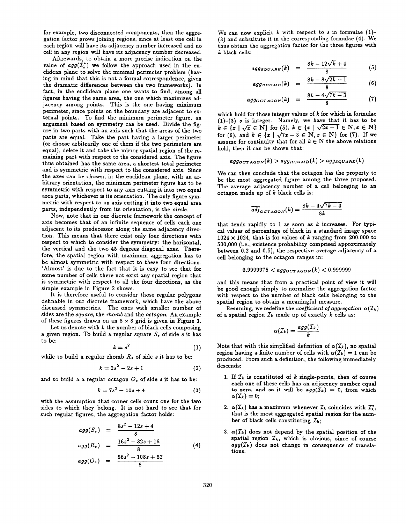for example, two disconnected components, then the aggregation factor grows joining regions, since at least one cell in each region will have its adjacency number increased and no cell in any region will have its adjacency number decressed.

Aftrewards, to obtain a more precise indication on the value of  $agg(T_k^*)$  we follow the approach used in the euclidean plane to solve the minimal perimeter problem (having in mind that this is not a formal correspondence, given the dramatic differences between the two frameworks). In fact, in the euclidean plane one wants to find, among all figures having the same area, the one which maximizes adjacency among points. This is the one having minimum perimeter, since points on the boundary are adjacent to external points. To find the minimum perimeter figure, an argument based on symmetry can be used. Divide the figure in two parts with an axis such that the areas of the two parts are equal. Take the part having a larger perimeter (or choose arbitrarily one of them if the two perimeters are equal), delete it and take the mirror spatial region of the remaining part with respect to the considered axis. The figure thus obtained has the same area, a shortest total perimeter and is symmetric with respect to the considered axis. Since the axes can be chosen, in the euclidean plane, with an arbitrary orientation, the minimum perimeter figure has to be symmetric with respect to any axis cutting it into two equal area parts, whichever is its orientation. The only figure symmetric with respect to an axis cutting it into two equal area parts, independently from its orientation, is the circle.

Now, note that in our discrete framework the concept of axis becomes that of an infinite sequence of cells each one adjacent to its predecessor along the same adjacency direction. This means that there exist only four directions with respect to which to consider the symmetry: the horizontal, the vertical and the two 45 degrees diagonal axes. There fore, the spatial region with maximum aggregation has to be almost symmetric with respect to these four directions. 'Almost' is due to the fact that it is easy to see that for some number of cells there not exist any spatial region that is symmetric with respect to all the four directions, as the simple example in Figure 2 shows.

It is therefore useful to consider those regular polygons definable in our discrete framework, which have the above discussed symmetries. The ones with smaller number of sides are the square, the rhomb and the octagon. An example of these figures drawn on an  $8 \times 8$  grid is given in Figure 3.

Let us denote with  $k$  the number of black cells composing a given region. To build a regular square  $S_s$  of side s it has to be:

$$
k = s^2 \tag{1}
$$

while to build a regular rhomb  $R$ , of side  $s$  it has to be:

$$
k = 2s^2 - 2s + 1 \tag{2}
$$

and to build a a regular octagon  $O_s$  of side s it has to be:

$$
k = 7s^2 - 10s + 4 \tag{3}
$$

with the assumption that corner cells count one for the two sides to which they belong. It is not hard to see that for such regular figures, the aggregation factor holds:

$$
agg(Ss) = \frac{8s^2 - 12s + 4}{8}
$$
  
\n
$$
agg(Rs) = \frac{16s^2 - 32s + 16}{8}
$$
 (4)

$$
agg(O_s) = \frac{56s^2 - 108s + 52}{8}
$$

We can now explicit k with respect to s in formulae  $(1)$ -(3) and substitute it in the corresponding formulae (4). We thus obtain the aggregation factor for the three figures with  $k$  black cells:

$$
agg_{SQUARE}(k) = \frac{8k - 12\sqrt{k+4}}{8} \tag{5}
$$

$$
agg_{RHOMB}(k) = \frac{8k - 8\sqrt{2k - 1}}{8} \qquad (6)
$$

$$
agg_{OCTAGON}(k) = \frac{8k - 4\sqrt{7k - 3}}{8}
$$
 (7)

which hold for those integer values of  $k$  for which in formula  $(1)-(3)$  s is integer. Namely, we have that it has to be  $k \in \{x \mid \sqrt{x} \in \mathbb{N}\}\$ for (5),  $k \in \{x \mid \sqrt{2x-1} \in \mathbb{N}, x \in \mathbb{N}\}\$ for (6), and  $k \in \{x \mid \sqrt{7x-3} \in \mathbb{N}, x \in \mathbb{N}\}$  for (7). If we assume for continuity that for all  $k \in N$  the above relations hold, then it can be shown that:

$$
agg_{OCTAGON}(k) > agg_{RHOMB}(k) > agg_{SQUARE}(k)
$$

We can then conclude that the octagon has the property to be the most aggregated figure among the three proposed. The average adjacency number of a cell belonging to an octagon made up of  $k$  black cells is:

$$
\overline{adj}_{OCTA GON}(k) = \frac{8k - 4\sqrt{7k - 3}}{8k}
$$

that tends rapidly to 1 as soon as  $k$  increases. For typical values of percentage of black in a standard image space  $1024 \times 1024$ , that is for values of k ranging from 200,000 to 500,000 (i.e., existence probabdity comprised approximately between 0.2 and 0.5), the respective average adjacency of a cell belonging to the octagon ranges in:

$$
0.9999975 < \text{agg}_{OTAGON}(k) < 0.999999
$$

and this means that from a practical point of view it will be good enough simply to normalize the aggregation factor with respect to the number of black cells belonging to the spatial region to obtain a meaningful measure.

Resuming, we redefine the coefficient of aggregation  $\alpha(\mathcal{I}_k)$ of a spatial region  $\mathcal{I}_k$  made up of exactly k cells as:

$$
\alpha(\mathcal{I}_k) = \frac{agg(\mathcal{I}_k)}{k}
$$

Note that with this simplified definition of  $\alpha(T_k)$ , no spatial region having a finite number of cells with  $\alpha(\mathcal{I}_k) = 1$  can be produced. From such a definition, the following immediately descends:

- 1. If  $\mathcal{I}_k$  is constituted of k single-points, then of cours each one of these cells has an adjacency number equal to zero, and so it will be  $agg(\mathcal{I}_k) = 0$ , from which  $\alpha(\mathcal{I}_k) = 0;$
- 2.  $\alpha(\mathcal{I}_k)$  has a maximum whenever  $\mathcal{I}_k$  coincides with  $\mathcal{I}_k$ that is the most aggregated spatial region for the number of black cells constituting  $\mathcal{I}_k$ ;
- 3.  $\alpha(\mathcal{I}_k)$  does not depend by the spatial position of the spatial region  $\mathcal{I}_k$ , which is obvious, since of course  $agg(I_k)$  does not change in consequence of translations.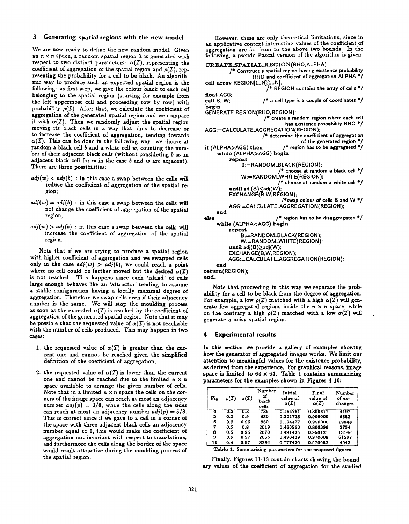# 3 Generating spatial regions with the new model

We are now ready to define the new random model. Given an  $n \times n$  space, a random spatial region  $\mathcal I$  is generated with respect to two distinct parameters:  $\alpha(\mathcal{I})$ , representing the coefficient of aggregation of the spatial region and  $\rho(T)$ , representing the probability for a cell to be black. An algorithmic way to produce such an expected spatial region is the following: as first step, we give the colour black to each cell belonging to the spatial region (starting for example from the left uppermost cell and proceeding row by row) with probability  $\rho(T)$ . After that, we calculate the coefficient of aggregation of the generated spatial region and we compare it with  $\alpha(T)$ . Then we randomly adjust the spatial region moving its black cells in a way that aims to decrease or to increase the coefficient of aggregation, tending towards  $\alpha(\mathcal{I})$ . This can be done in the following way: we choose at random a black cell  $b$  and a white cell  $w$ , counting the number of their adjacent black cells (without considering b as an adjacent black cell for  $w$  in the case  $b$  and  $w$  are adjacent). There are three possibilities:

- $adj(w) < adj(b)$ : in this case a swap between the cells will reduce the coefficient of aggregation of the spatial re gion;
- $adj(w) = adj(b)$ : in this case a swap between the cells will not change the coefficient of aggregation of the spatial region;
- $adj(w) > adj(b)$ : in this case a swap between the cells will increase the coefficient of aggregation of the spatial region.

Note that if we are trying to produce a spatial region with higher coefficient of aggregation and we swapped cells only in the case  $adj(w) > adj(b)$ , we could reach a point where no cell could be further moved but the desired  $\alpha(T)$ is not reached. This happens since each 'island' of cells large enough behaves like an 'attractor' tending to assume a stable configuration having a locally maximal degree of aggregation. Therefore we swap cells even if their adjacency number is the same. We will stop the moulding process as soon as the expected  $\alpha(T)$  is reached by the coefficient of aggregation of the generated spatial region. Note that it may be possible that the requested value of  $\alpha(T)$  is not reachable with the number of cells produced. This may happen in two cases:

- 1. the requested value of  $\alpha(T)$  is greater than the cur rent one and cannot be reached given the simplified definition of the coefficient of aggregation;
- 2. the requested value of  $\alpha(T)$  is lower than the current one and cannot be reached due to the limited  $n \times n$ space available to arrange the given number of cells. Note that in a limited  $n \times n$  space the cells on the corners of the image space can reach at most an adjacency number  $adj(p) = 3/8$ , while the cells along the sides can reach at most an adjacency number  $adj(p) = 5/8$ . This is correct since if we gave to a cell in a corner of the space with three adjacent black cells an adjacency number equal to 1, this would make the coefficient of aggregation not invariant with respect to translations, and furthermore the cells along the border of the space would result attractive during the moulding process of the spatial region.

However, these are only theoretical limitations, since in an applicative context interesting values of the coefficient of aggregation are far from to the above two bounds. In the foliowmg, a pseudo-Pascal version of the algorithm is given:

```
CREATE_SPATIAL_REGION(RHO, ALPHA)
         /" Construct a spatial region having existence probability
                 RHO and coefficient of aggregation ALPHA ●/
cell array REGION[1..N][1..N];
                      \hat{V}^* REGION contains the array of cells \hat{V}float AGG;
cell B, W; / a cell type is a couple of coordinates */begin
GENERATEREGION( RHO, REGION);
                     /* create a random region where each cell
                             has existence probability RHO */
AGG:=CALCULATEAGGREGATION(REGION);
                     /* determine the coefficient of aggregation
                                  of the generated region *if (ALPHA>AGG) then /* region has to be aggregated */
    while (ALPHA>AGG) begin
         repeat
             B:= RANDOM_BLACK(REGION);
                           /* choose at random a black cell*/
             W:=RANDOM_WHITE(REGION);
                           /* choose at random a white cell*/
         until adj(B) < adj(W);
         EXCHANGE(B,W,REGION):
                            *swap colour of cells B and W */
         AGG:=CALCULATEAGGREGATION(REGION);
    end
else /* region has to be disaggregated */
    while (ALPHA<AGG) begin
         repeat
             B:= RANDOM_BLACK(REGION);
             W:= RANDOM_WHITE(REGION);
         until adj(B) \geq adj(W);EXCHANGE(B,W,REGION):
         AGG:=CALCULATEAGGREGATION(REGION);
    end
return(REGION);
end.
```
Note that proceeding in this way we separate the probability for a cell to be black from the degree of aggregation. For example, a low  $\rho(\mathcal{I})$  matched with a high  $\alpha(\mathcal{I})$  will generate few aggregated regions inside the  $n \times n$  space, while on the contrary a high  $\rho(T)$  matched with a low  $\alpha(T)$  will generate a noisy spatial region.

## 4 Experimental results

In this section we provide a gallery of examples showing how the generator of aggregated images works. We limit our attention to meaningful values for the existence probability, as derived from the experience. For graphical reasons, image space is limited to  $64 \times 64$ . Table 1 contains summarizing parameters for the examples shown in Figures 4-10:

| Fig. | $\rho(\mathcal{I})$ | $\alpha(\mathcal{I})$ | Number<br>оf<br>black<br>cells | Initial<br>value of<br>$\alpha(T)$ | Final<br>value of<br>$\alpha(\mathcal{I})$ | Number<br>of ex-<br>changes |
|------|---------------------|-----------------------|--------------------------------|------------------------------------|--------------------------------------------|-----------------------------|
| 4    | 0.2                 | 0.8                   | 736                            | 0.165761                           | 0.800611                                   | 4192                        |
| 5    | 0.2                 | 0.9                   | 830                            | 0.205723                           | 0.900000                                   | 6553                        |
| 6    | 0.2                 | 0.95                  | 860                            | 0.194477                           | 0.950000                                   | 19848                       |
| 7    | 0.5                 | 0.8                   | 2019                           | 0.480560                           | 0.800396                                   | 2754                        |
| 8    | 0.5                 | 0.95                  | 2070                           | 0.491425                           | 0.950121                                   | 13146                       |
| э    | 0.5                 | 0.97                  | 2056                           | 0.490429                           | 0.970008                                   | 61597                       |
| 10   | 0.8                 | 0.97                  | 3264                           | 0.777420                           | 0.970052                                   | 4043                        |

Table 1: Summarizing parameters for the proposed figures

Finally, Figures 11-13 contain charts showing the boundary values of the coefficient of aggregation for the studied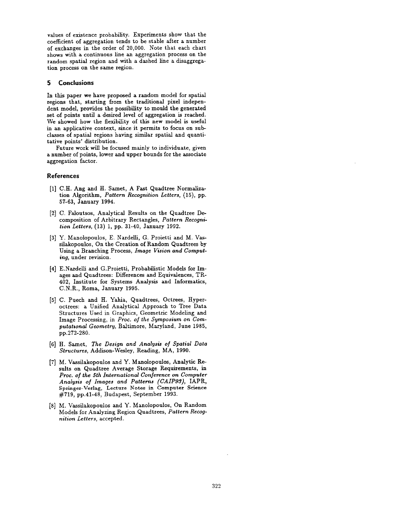values of existence probability. Experiments show that the coefficient of aggregation tends to be stable after a number of exchanges in the order of 20,000. Note that each chart shows with a continuous line an aggregation process on the random spatial region and with a dashed line a disaggregation process on the same region.

## 5 Conclusions

In this paper we have proposed a random model for spatial regions that, starting from the traditional pixel independent model, provides the possibility to mould the generated set of points until a desired level of aggregation is reached. We showed how the flexibility of this new model is useful in an applicative context, since it permits to focus on subclasses of spatial regions having similar spatial and quantitative points' distribution.

Future work will be focused mainly to individuate, given a number of points, lower and upper bounds for the associate aggregation factor.

### References

- [1] C.H. Ang and H. Samet, A Fast Quadtree Normalization Algorithm, Pattern Recognition Letters, (15), pp. 57-63, January 1994.
- [2] C. Faloutsos, Analytical Results on the Quadtree Decomposition of Arbitrary Rectangles, Pattern Recognition Letters, (13) 1, pp. 31-40, January 1992.
- [3] Y. Manolopoulos, E. Nardelli, G. Proietti and M. Vassilakopoulos, On the Creation of Random Quadtrees by Using a Branching Process, Image Vision and Computing, under revision.
- [4] E.Nardelli and G.Proietti, Probabilistic Models for Images and Quadtrees: Differences and Equivalences, TR-402, Institute for Systems Analysis and Informatics, C.N.R., Roma, January 1995.
- [5] C. Puech and H. Yahia, Quadtrees, Octrees, Hyperoctrees: a Unified Analytical Approach to Tree Data Structures Used in Graphics, Geometric Modeling and Image Processing, in Proc. of the Symposium on Computational Geometry, Baltimore, Maryland, June 1985, pp.272-280.
- [6] H. Samet, The Design and Analysis of Spatial Data Structures, Addison-Wesley, Reading, MA, 1990.
- [7] M. Vassilakopoulos and Y. Manolopoulos, Analytic Results on Quadtree Average Storage Requirements, in Proc. of the 5th International Conference on Computer Analysis of Images and Patterns (CAIP93), IAPR, Springer-Verlag, Lecture Notes in Computer Science #719, pp.41-48, Budapest, September 1993.
- [8] M. Vassilakopoulos and Y. Manolopoulos, On Random Models for Analyzing Region Quadtrees, Pattern Recognition Letters, accepted.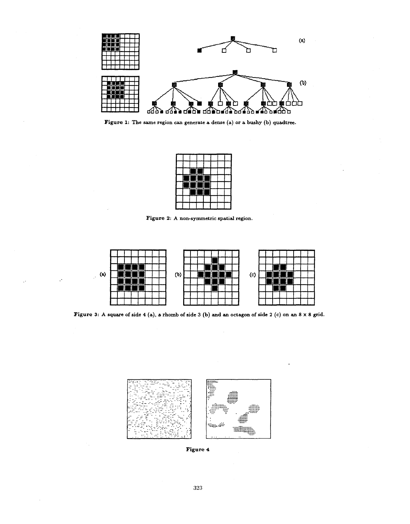

Figure 1: The same region can generate a dense (a) or a bushy (b) quadtree.

|   | H  |   |   |  |  |
|---|----|---|---|--|--|
| ۰ | T۱ | т | Ì |  |  |
|   | ۰  | Ξ | ٠ |  |  |
|   |    |   |   |  |  |
|   |    |   |   |  |  |

Figure 2: A non-symmetric spatial region.



Figure 3: A square of side 4 (a), a rhomb of side 3 (b) and an octagon of side 2 (c) on an 8 x 8 grid.



Figure 4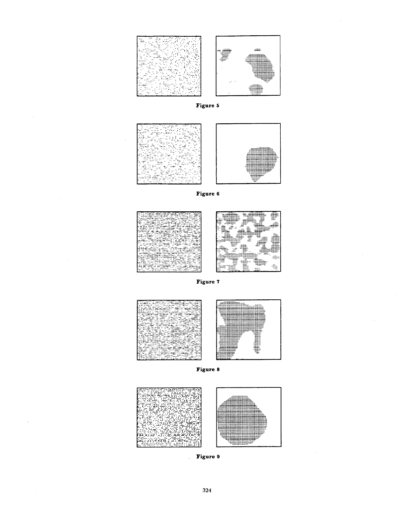

Figure 5





Figure 6





Figure 7





Figure 8





324